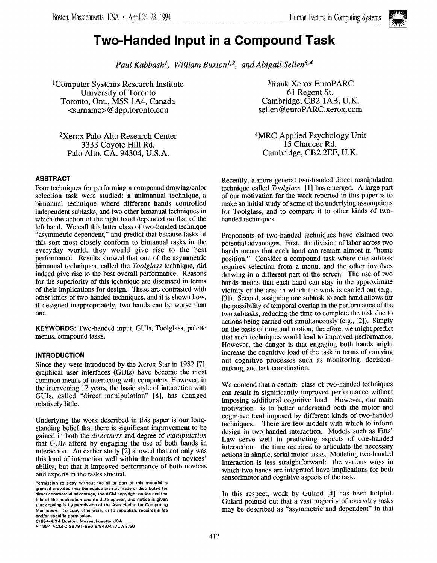

# Two-Handed Input in a Compound Task

Paul Kabbash<sup>1</sup>, William Buxton<sup>1,2</sup>, and Abigail Sellen<sup>3,4</sup>

<sup>1</sup>Computer Sy<sub>stems</sub> Research Institute University of Toronto Toronto, Ont., M5S 1A4, Canada <surname>@ dgp.toronto.edu

2Xerox Palo Alto Research Center 3333 Coyote Hill Rd. Palo Alto, CA. 94304, U.S.A.

# ABSTRACT

Four techniques for performing a compound drawing/color selection task were studied: a unimanual technique, a bimanual technique where different hands controlled independent subtasks, and two other bimanual techniques in which the action of the right hand depended on that of the left hand. We call this latter class of two-handed technique "asymmetric dependent," and predict that because tasks of this sort most closely conform to bimanual tasks in the everyday world, they would give rise to the best performance. Results showed that one of the asymmetric bimanual techniques, called the Toolglass technique, did indeed give rise to the best overall performance. Reasons for the superiority of this technique are discussed in terms of their implications for design. These are contrasted with other kinds of two-handed techniques, and it is shown how, if designed inappropriately, two hands can be worse than one.

KEYWORDS: Two-handed input, GUIS, Toolglass, palette menus, compound tasks.

# INTRODUCTION

Since they were introduced by the Xerox Star in 1982 [7], graphical user interfaces (GUIS) have become the most common means of interacting with computers. However, in the intervening 12 years, the basic style of interaction with GUIS, called "direct manipulation" [8], has changed relatively little.

Underlying the work described in this paper is our longstanding belief that there is significant improvement to be gained in both the directness and degree of manipulation that GUIS afford by engaging the use of both hands in interaction. An earlier study [2] showed that not only was this kind of interaction well within the bounds of novices' ability, but that it improved performance of both novices and experts in the tasks studied.

Permission to copy without fee all or part of this material is granted provided that the copies are not made or distributed fo<br>direct commercial advantage, the ACM copyright notice and the title of the publication and its date appear, and notice is given<br>that copying is by permission of the Association for Computing Machinery. To copy otherwise, or to republish, requires a fee endlor specific permission. cH194-4/94 Boston, Massachusetts USA

~ 1994 ACM 0-89791 -650 -6/94 /0417 . ..\$3.50

<sup>3</sup>Rank Xerox EuroPARC 61 Regent St. Cambridge, CB2 lAB, U.K. sellen @euroPARC.xerox. com

4MRC Applied Psychology Unit 15 Chaucer Rd. Cambridge, CB2 2EF, U.K.

Recently, a more general two-handed direct manipulation technique called Toolglass [1] has emerged. A large part of our motivation for the work reported in this paper is to make an initial study of some of the underlying assumptions for Toolglass, and to compare it to other kinds of twohanded techniques.

Proponents of two-handed techniques have claimed two potential advantages. First, the division of labor across two hands means that each hand can remain almost in "home position," Consider a compound task where one subtask requires selection from a menu, and the other involves drawing in a different part of the screen. The use of two hands means that each hand can stay in the approximate vicinity of the area in which the work is carried out (e.g., [31). Second, assigning one subtask to each hand allows for the possibility of temporal overlap in the performance of the two subtasks, reducing the time to complete the task due to actions being carried out simultaneously (e.g., [21). SimPIY on the basis of time and motion, therefore, we might predict that such techniques would lead to improved performance. However, the danger is that engaging both hands might increase the cognitive load of the task in terms of carrying out cognitive processes such as monitoring, decisionmaking, and task coordination.

We contend that a certain class of two-handed techniques can result in significantly improved performance without imposing additional cognitive load. However, our main motivation is to better understand both the motor and cognitive load imposed by different kinds of two-handed techniques. There are few models with which to ,inform design in two-handed interaction. Models such as Fitts' Law serve well in predicting aspects of one-handed interaction: the time required to articulate the necessary actions in simple, serial motor tasks. Modeling two-handed interaction is less straightforward: the various ways in which two hands are integrated have implications for both sensorimotor and cognitive aspects of the task.

In this respect, work by Guiard [4] has been helpful. Guiard pointed out that a vast majority of everyday tasks may be described as "asymmetric and dependent" in that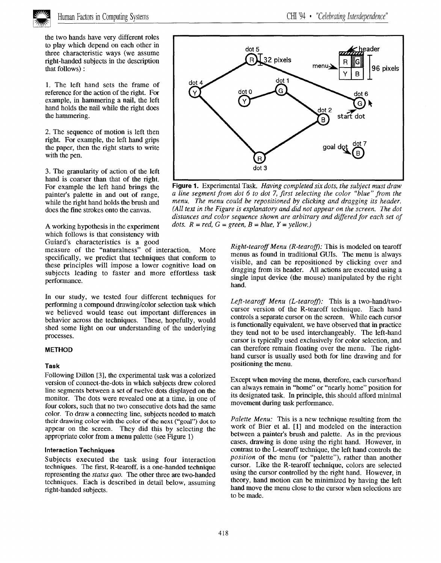

the two hands have very different roles to play which depend on each other in three characteristic ways (we assume right-handed subjects in the description that follows) :

1. The left hand sets the frame of reference for the action of the right. For example, in hammering a nail, the left hand holds the nail while the right does the hammering.

2. The sequence of motion is left then right. For example, the left hand grips the paper, then the right starts to write with the pen.

3. The granularity of action of the left hand is coarser than that of the right. For example the left hand brings the painter's palette in and out of range, while the right hand holds the brush and does the fine strokes onto the canvas.

A working hypothesis in the experiment which follows is that consistency with Guiard's characteristics is a good

measure of the "naturalness" of interaction. More specifically, we predict that techniques that conform to these principles will impose a lower cognitive load on subjects leading to faster and more effortless task performance.

In our study, we tested four different techniques for performing a compound drawing/color selection task which we believed would tease out important differences in behavior across the techniques. These, hopefully, would shed some light on our understanding of the underlying processes.

#### METHOD

## Task

Following Dillon [3], the experimental task was a colorized version of connect-the-dots in which subjects drew colored line segments between a set of twelve dots displayed on the monitor, The dots were revealed one at a time, in one of four colors, such that no two consecutive dots had the same color. To draw a connecting line, subjects needed to match their drawing color with the color of the next ("goal") dot to appear on the screen. They did this by selecting the appropriate color from a menu palette (see Figure 1)

#### Interaction Techniques

Subjects executed the task using four interaction techniques. The first, R-tearoff, is a one-handed technique representing the status quo. The other three are two-handed techniques. Each is described in detail below, assuming right-handed subjects.



Figure 1. Experimental Task. Having completed six dots, the subject must draw a line segment from dot 6 to dot 7, first selecting the color "blue" from the menu. The menu could be repositioned by clicking and dragging its header. (All text in the Figure is explanatory and did not appear on the screen. The dot distances and color sequence shown are arbitrary and diflered for each set of dots.  $R = red$ ,  $G = green$ ,  $B = blue$ ,  $Y = yellow$ .)

 $Right\text{-}tearoff$  Menu (R-tearoff): This is modeled on tearoff menus as found in traditional GUIS. The menu is always visible, and can be repositioned by clicking over and dragging from its header. All actions are executed using a single input device (the mouse) manipulated by the right hand.

Left-tearoff Menu (L-tearoff): This is a two-hand/twocursor version of the R-tearoff technique. Each hand controls a separate cursor on the screen. While each cursor is functionally equivalent, we have observed that in practice they tend not to be used interchangeably. The left-hand cursor is typically used exclusively for color selection, and can therefore remain floating over the menu, The righthand cursor is usually used both for line drawing and for positioning the menu.

Except when moving the menu, therefore, each cursor/hand can always remain in "home" or "nearly home" position for its designated task. In principle, this should afford minimal movement during task performance.

Palette Menu: This is a new technique resulting from the work of Bier et al. [1] and modeled on the interaction between a painter's brush and palette. As in the previous cases, drawing is done using the right hand. However, in contrast to the L-tearoff technique, the left hand controls the *position* of the menu (or "palette"), rather than another cursor. Like the R-tearoff technique, colors are selected using the cursor controlled by the right hand. However, in theory, hand motion can be minimized by having the left hand move the menu close to the cursor when selections are to be made.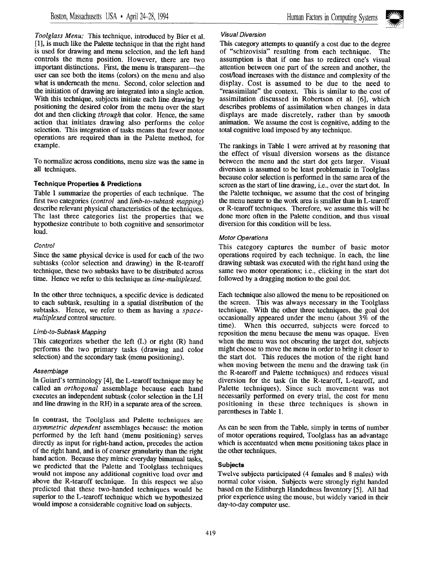Toolglass Menu: This technique, introduced by Bier et al. [1], is much like the Palette technique in that the right hand is used for drawing and menu selection, and the left hand controls the menu position. However, there are two important distinctions. First, the menu is transparent-the user can see both the items (colors) on the menu and also what is underneath the menu. Second, color selection and the initiation of drawing are integrated into a single action. With this technique, subjects initiate each line drawing by positioning the desired color from the menu over the start dot and then clicking through that color. Hence, the same action that initiates drawing also performs the color selection. This integration of tasks means that fewer motor operations are required than in the Palette method, for example.

To normalize across conditions, menu size was the same in all techniques.

## Technique Properties & Predictions

Table 1 summarize the properties of each technique. The first two categories (control and limb-to-subtask mapping) describe relevant physical characteristics of the techniques. The last three categories list the properties that we hypothesize contribute to both cognitive and sensorimotor load.

## **Control**

Since the same physical device is used for each of the two subtasks (color selection and drawing) in the R-tearoff technique, these two subtasks have to be distributed across time. Hence we refer to this technique as time-multiplexed.

In the other three techniques, a specific device is dedicated to each subtask, resulting in a spatial distribution of the subtasks. Hence, we refer to them as having a spacemultiplexed control structure.

# Limb-to-Subtask Mapping

This categorizes whether the left (L) or right (R) hand performs the two primary tasks (drawing and color selection) and the secondary task (menu positioning).

## Assemblage

In Guiard's terminology [4], the L-tearoff technique maybe called an orthogonal assemblage because each hand executes an independent subtask (color selection in the LH and line drawing in the RH) in a separate area of the screen.

In contrast, the Toolglass and Palette techniques are asymmetric dependent assemblages because: the motion performed by the left hand (menu positioning) serves directly as input for right-hand action, precedes the action of the right hand, and is of coarser granularity than the right hand action. Because they mimic everyday bimanual tasks, we predicted that the Palette and Toolglass techniques would not impose any additional cognitive load over and above the R-tearoff technique. In this respect we also predicted that these two-handed techniques would be superior to the L-tearoff technique which we hypothesized would impose a considerable cognitive load on subjects.



# Visual Diversion

This category attempts to quantify a cost due to the degree of "schizovisia" resulting from each technique. The assumption is that if one has to redirect one's visual attention between one part of the screen and another, the cosdload increases with the distance and complexity of the display. Cost is assumed to be due to the need to "reassimilate" the context. This is similar to the cost of assimilation discussed in Robertson et al. [6], which describes problems of assimilation when changes in data displays are made discretely, rather than by smooth animation. We assume the cost is cognitive, adding to the total cognitive load imposed by any technique.

The rankings in Table 1 were arrived at by reasoning that the effect of visual diversion worsens as the distance between the menu and the start dot gets larger. Visual diversion is assumed to be least problematic in Toolglass because color selection is performed in the same area of the screen as the start of line drawing, i.e., over the start dot. In the Palette technique, we assume that the cost of bringing the menu nearer to the work area is smaller than in L-tearoff or R-tearoff techniques. Therefore, we assume this will be done more often in the Palette condition, and thus visual diversion for this condition will be less.

## Motor Operations

This category captures the number of basic motor operations required by each technique. In each, the line drawing subtask was executed with the right hand using the same two motor operations; i.e., clicking in the start dot followed by a dragging motion to the goal dot.

Each technique also allowed the menu to be repositioned on the screen. This was always necessary in the Toolglass technique. With the other three techniques, the goal dot occasionally appeared under the menu (about  $3\%$  of the time). When this occurred, subjects were forced to reposition the menu because the menu was opaque. Even when the menu was not obscuring the target dot, subjects might choose to move the menu in order to bring it closer to the start dot. This reduces the motion of the right hand when moving between the menu and the drawing task (in the R-tearoff and Palette techniques) and reduces visual diversion for the task (in the R-tearoff, L-tearoff, and Palette techniques). Since such movement was not necessarily performed on every trial, the cost for menu positioning in these three techniques is shown in parentheses in Table 1.

As can be seen from the Table, simply in terms of number of motor operations required, Toolglass has an advantage which is accentuated when menu positioning takes place in the other techniques.

# **Subjects**

Twelve subjects participated (4 females and 8 males) with normal color vision. Subjects were strongly right handed based on the Edinburgh Handedness Inventory [5]. All had prior experience using the mouse, but widely varied in their day-to-day computer use.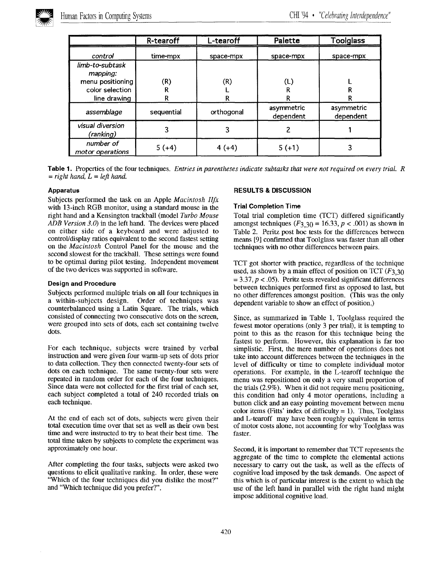

|                               | R-tearoff  | L-tearoff  | Palette                 | <b>Toolglass</b>        |
|-------------------------------|------------|------------|-------------------------|-------------------------|
| control                       | time-mpx   | space-mpx  | space-mpx               | space-mpx               |
| limb-to-subtask<br>mapping:   |            |            |                         |                         |
| menu positioning              | (R)        | (R)        | (L)                     |                         |
| color selection               | R          |            | R                       |                         |
| line drawing                  | R          | R          | R                       |                         |
| assemblage                    | sequential | orthogonal | asymmetric<br>dependent | asymmetric<br>dependent |
| visual diversion<br>(ranking) |            |            |                         |                         |
| number of<br>motor operations | $5 (+4)$   | $4(+4)$    | $5(+1)$                 | 3                       |

Table 1. Properties of the four techniques. Entries in parentheses indicate subtasks that were not required on every trial. R  $=$  right hand,  $L = left$  hand.

## Apparatus

Subjects performed the task on an Apple Macintosh  $Hfx$ with 13-inch RGB monitor, using a standard mouse in the right hand and a Kensington trackball (model Turbo Mouse ADB Version 3.0) in the left hand. The devices were placed on either side of a keyboard and were adjusted to control/display ratios equivalent to the second fastest setting on the Macintosh Control Panel for the mouse and the second slowest for the trackball. These settings were found to be optimal during pilot testing. Independent movement of the two devices was supported in software.

#### Design and Procedure

Subjects performed multiple trials on all four techniques in a within-subjects design. Order of techniques was counterbalanced using a Latin Square. The trials, which consisted of connecting two consecutive dots on the screen, were grouped into sets of dots, each set containing twelve dots.

For each technique, subjects were trained by verbal instruction and were given four warm-up sets of dots prior to data collection. They then connected twenty-four sets of dots on each technique. The same twenty-four sets were repeated in random order for each of the four techniques. Since data were not collected for the first trial of each set. each subject completed a total of 240 recorded trials on each technique.

At the end of each set of dots, subjects were given their total execution time over that set as well as their own best time and were instructed to try to beat their best time. The total time taken by subjects to complete the experiment was approximately one hour.

After completing the four tasks, subjects were asked two questions to elicit qualitative ranking. In order, these were "Which of the four techniques did you dislike the most?' and "Which technique did you prefer?".

#### RESULTS & DISCUSSION

#### Trial Completion Time

Total trial completion time (TCT) differed significantly amongst techniques ( $F_3$ ,  $30 = 16.33$ ,  $p < .001$ ) as shown in Table 2. Peritz post hoc tests for the differences between means [9] confirmed that Toolglass was faster than all other techniques with no other differences between pairs.

TCT got shorter with practice, regardless of the technique used, as shown by a main effect of position on TCT ( $F_3$ , 30)  $= 3.37, p < 0.05$ . Peritz tests revealed significant differences between techniques performed first as opposed to last, but no other differences amongst position. (This was the only dependent variable to show an effeet of position.)

Since, as summarized in Table 1, Toolglass required the fewest motor operations (only 3 per trial), it is tempting to point to this as the reason for this technique being the fastest to perform. However, this explanation is far too simplistic. First, the mere number of operations does not take into account differences between the techniques in the level of difficulty or time to complete individual motor operations. For example, in the L-tearoff technique the menu was repositioned on only a very small proportion of the trials (2.9%). When it did not require menu positioning, this condition had only 4 motor operations, including a button click and an easy pointing movement between menu color items (Fitts' index of difficulty  $= 1$ ). Thus, Toolglass and L-tearoff may have been roughly equivalent in terms of motor costs alone, not accounting for why Toolglass was faster.

Second, it is important to remember that TCT represents the aggregate of the time to complete the elemental actions necessary to carry out the task, as well as the effects of cognitive load imposed by the task demands. One aspect of this which is of particular interest is the extent to which the use of the left hand in parallel with the right hand might impose additional cognitive load.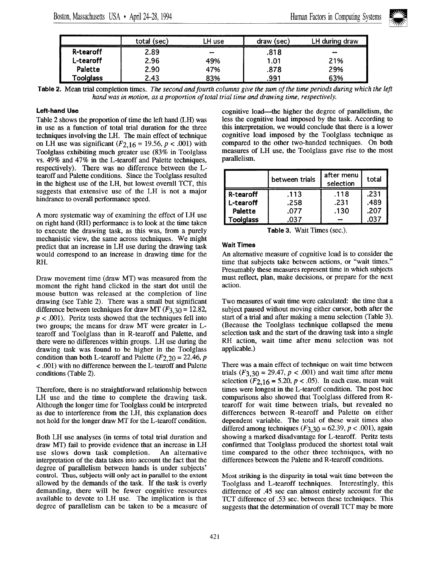

|           | total (sec) | LH use | draw (sec) | ∟H during draw |
|-----------|-------------|--------|------------|----------------|
| R-tearoff | 2.89        | --     | .818       | $- -$          |
| L-tearoff | 2.96        | 49%    | 1.01       | 21%            |
| Palette   | 2.90        | 47%    | .878       | 29%            |
| Toolglass | 2.43        | 83%    | .991       | 63%            |

Table 2. Mean trial completion times. The second and fourth columns give the sum of the time periods during which the left hand was in motion, as a proportion of total trial time and drawing time, respectively.

# Left-hand Use

Table 2 shows the proportion of time the left hand (LH) was in use as a function of total trial duration for the three techniques involving the LH. The main effect of technique on LH use was significant  $(F2.16 = 19.56, p < .001)$  with Toolglass exhibiting much greater use (83% in Toolglass vs.  $49\%$  and  $47\%$  in the L-tearoff and Palette techniques, respectively). There was no difference between the Ltearoff and Palette conditions. Since the Toolglass resulted in the highest use of the LH, but lowest overall TCT, this suggests that extensive use of the LH is not a major hindrance to overall performance speed.

A more systematic way of examining the effect of LH use on right hand (RH) performance is to look at the time taken to execute the drawing task, as this was, from a purely mechanistic view, the same across techniques. We might predict that an increase in LH use during the drawing task would correspond to an increase in drawing time for the RH.

Draw movement time (draw MT) was measured from the moment the right hand clicked in the start dot until the mouse button was released at the completion of line drawing (see Table 2). There was a small but significant difference between techniques for draw MT ( $F_{3,30}$  = 12.82,  $p < .001$ ). Peritz tests showed that the techniques fell into two groups; the means for draw MT were greater in Ltearoff and Toolglass than in R-tearoff and Palette, and there were no differences within groups. LH use during the drawing task was found to be higher in the Toolglass condition than both L-tearoff and Palette  $(F2.20) = 22.46$ , p c .001) with no difference between the L-tearoff and Palette conditions (Table 2).

Therefore, there is no straightforward relationship between LH use and the time to complete the drawing task. Although the longer time for Toolglass could be interpreted as due to interference from the LH, this explanation does not hold for the longer dmw MT for the L-tearoff condition,

Both LH use analyses (in terms of total trial duration and draw MT) fail to provide evidence that an increase in LH use slows down task completion. An alternative interpretation of the data takes into account the fact that the degree of parallelism between hands is under subjects' control. Thus, subjects will only act in parallel to the extent allowed by the demands of the task. If the task is overly demanding, there will be fewer cognitive resources available to devote to LH use. The implication is that degree of parallelism can be taken to be a measure of

cognitive load—the higher the degree of parallelism, the less the cognitive load imposed by the task. According to this interpretation, we would conclude that there is a lower cognitive load imposed by the Toolglass technique as compared to the other two-handed techniques. On both measures of LH use, the Toolglass gave rise to the most parallelism.

|                                                                                              | between trials | after menu<br>selection | total |  |
|----------------------------------------------------------------------------------------------|----------------|-------------------------|-------|--|
| R-tearoff                                                                                    | .113           | .118                    | .231  |  |
| L-tearoff                                                                                    | .258           | .231                    | .489  |  |
| Palette                                                                                      | .077           | .130                    | .207  |  |
| Toolglass                                                                                    | .037           |                         | .037  |  |
| $T_{\rm eff}$ is a second $\rm{Tr}_{\rm eff}$ in $\rm{Tr}_{\rm eff}$ and $\rm{Tr}_{\rm eff}$ |                |                         |       |  |

Table 3. Wait Times (sec.).

# Wait Times

An alternative measure of cognitive load is to consider the time that subjects take between actions, or "wait times." Presumably these measures represent time in which subjects must reflect, plan, make decisions, or prepare for the next action.

Two measures of wait time were calculated: the time that a subject paused without moving either cursor, both after the start of a trial and after making a menu selection (Table 3). (Because the Toolglass technique collapsed the menu selection task and the start of the drawing task into a single RH action, wait time after menu selection was not applicable.)

There was a main effect of technique on wait time between trials  $(F3,30 = 29.47, p < .001)$  and wait time after menu selection  $(F2.16 = 5.20, p < .05)$ . In each case, mean wait times were longest in the L-tearoff condition. The post hoc comparisons also showed that Toolglass differed from Rtearoff for wait time between trials, but revealed no differences between R-tearoff and Palette on either dependent variable. The total of these wait times also differed among techniques ( $F_{3,30}$  = 62.39,  $p < .001$ ), again showing a marked disadvantage for L-tearoff. Peritz tests confined that Toolglass produced the shortest total wait time compared to the other three techniques, with no differences between the Palette and R-tearoff conditions.

Most striking is the disparity in total wait time between the Toolglass and L-tearoff techniques. Interestingly, this difference of .45 sec can almost entirely account for the TCT difference of .53 sec. between these techniques. This suggests that the determination of overall TCT may be more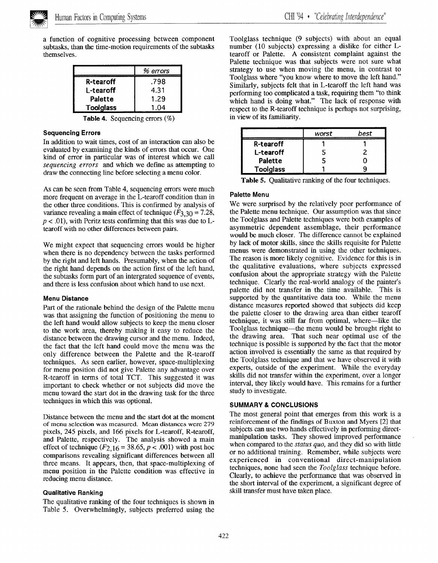

a function of cognitive processing between component subtasks, than the time-motion requirements of the subtasks themselves.

|                  | % errors |
|------------------|----------|
| <b>R-tearoff</b> | .798     |
| L-tearoff        | 4.31     |
| Palette          | 1.29     |
| <b>Toolglass</b> | ብ4       |

Table 4. Sequencing errors (%)

### Sequencing Errors

In addition to wait times, cost of an interaction can also be evaluated by examining the kinds of errors that occur. One kind of error in particular was of interest which we call sequencing errors and which we define as attempting to draw the connecting line before selecting a menu color.

As can be seen from Table 4, sequencing errors were much more frequent on average in the L-tearoff condition than in the other three conditions. This is confined by analysis of variance revealing a main effect of technique ( $F_{3,30} = 7.28$ ,  $p < .01$ ), with Peritz tests confirming that this was due to Ltearoff with no other differences between pairs.

We might expect that sequencing errors would be higher when there is no dependency between the tasks performed by the right and left hands. Presumably, when the action of the right hand depends on the action first of the left hand, the subtasks form part of an intergrated sequence of events, and there is less confusion about which hand to use next.

#### Menu Distance

Part of the rationale behind the design of the Palette menu was that assigning the function of positioning the menu to the left hand would allow subjects to keep the menu closer to the work area, thereby making it easy to reduce the distance between the drawing cursor and the menu. Indeed, the fact that the left hand could move the menu was the only difference between the Palette and the R-tearoff techniques, As seen earlier, however, space-multiplexing for menu position did not give Palette any advantage over R-tearoff in terms of total TCT. This suggested it was important to check whether or not subjects did move the menu toward the start dot in the drawing task for the three techniques in which this was optional.

Distance between the menu and the start dot at the moment of menu selection was measured. Mean distances were 279 pixels, 245 pixels, and 166 pixels for L-tearoff, R-tearoff, and Palette, respectively. The analysis showed a main effect of technique ( $F2, 16 = 38.65, p < .001$ ) with post hoc comparisons revealing significant differences between all three means. It appears, then, that space-multiplexing of menu position in the Palette condition was effective in reducing menu distance.

## Qualitative Ranking

The qualitative ranking of the four techniques is shown in Table 5. Overwhelmingly, subjects preferred using the Toolglass technique (9 subjects) with about an equal number (10 subjects) expressing a dislike for either Ltearoff or Palette. A consistent complaint against the Palette technique was that subjects were not sure what strategy to use when moving the menu, in contrast to Toolglass where "you know where to move the left hand." Similarly, subjects felt that in L-tearoff the left hand was performing too complicated a task, requiring them "to think which hand is doing what." The lack of response with respect to tie R-tearoff technique is perhaps not surprising, in view of its familiarity.

|                  | worst | best |
|------------------|-------|------|
| <b>R-tearoff</b> |       |      |
| L-tearoff        |       |      |
| Palette          |       |      |
| <b>Toolglass</b> |       | - -  |

Table 5. Qualitative ranking of the four techniques.

#### Palette Menu

We were surprised by the relatively poor performance of the Palette menu technique. Our assumption was that since the Toolglass and Palette techniques were both examples of asymmetric dependent assemblage, their performance would be much closer. The difference cannot be explained by lack of motor skills, since the skills requisite for Palette menus were demonstrated in using the other techniques. The reason is more likely cognitive. Evidence for this is in the qualitative evaluations, where subjects expressed confusion about the appropriate strategy with the Palette technique. Clearly the real-world analogy of the painter's palette did not transfer in the time available. This is supported by the quantitative data too. While the menu distance measures reported showed that subjects did keep the palette closer to the drawing area than either tearoff technique, it was still far from optimal, where—like the Toolglass technique—the menu would be brought right to the drawing area. That such near optimal use of the technique is possible is supported by the fact that the motor action involved is essentially the same as that required by the Toolglass technique and that we have observed it with experts, outside of the experiment. While the everyday skills did not transfer within the experiment, over a longer interval, they likely would have. This remains for a further study to investigate.

#### SUMMARY & CONCLUSIONS

The most general point that emerges from this work is a reinforcement of the findings of Buxton and Myers [2] that subjects can use two hands effectively in performing directmanipulation tasks. They showed improved performance when compared to the *status quo*, and they did so with little or no additional training. Remember, while subjects were experienced in conventional direct-manipulation techniques, none had seen the Toolglass technique before. Clearly, to achieve the performance that was observed in the short interval of the experiment, a significant degree of skill transfer must have taken place.